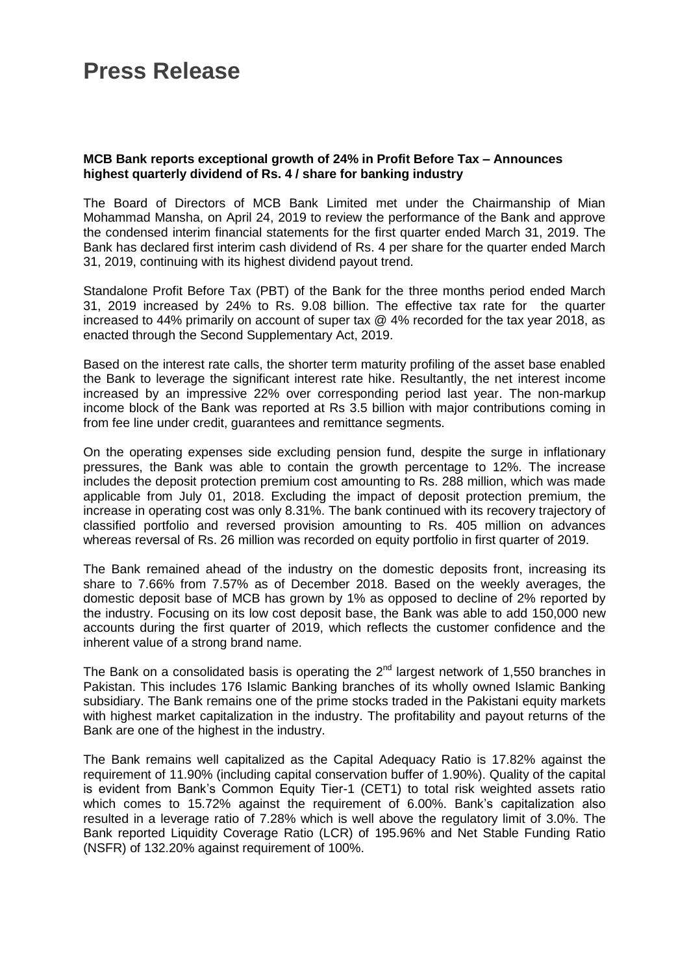## **Press Release**

## **MCB Bank reports exceptional growth of 24% in Profit Before Tax – Announces highest quarterly dividend of Rs. 4 / share for banking industry**

The Board of Directors of MCB Bank Limited met under the Chairmanship of Mian Mohammad Mansha, on April 24, 2019 to review the performance of the Bank and approve the condensed interim financial statements for the first quarter ended March 31, 2019. The Bank has declared first interim cash dividend of Rs. 4 per share for the quarter ended March 31, 2019, continuing with its highest dividend payout trend.

Standalone Profit Before Tax (PBT) of the Bank for the three months period ended March 31, 2019 increased by 24% to Rs. 9.08 billion. The effective tax rate for the quarter increased to 44% primarily on account of super tax @ 4% recorded for the tax year 2018, as enacted through the Second Supplementary Act, 2019.

Based on the interest rate calls, the shorter term maturity profiling of the asset base enabled the Bank to leverage the significant interest rate hike. Resultantly, the net interest income increased by an impressive 22% over corresponding period last year. The non-markup income block of the Bank was reported at Rs 3.5 billion with major contributions coming in from fee line under credit, guarantees and remittance segments.

On the operating expenses side excluding pension fund, despite the surge in inflationary pressures, the Bank was able to contain the growth percentage to 12%. The increase includes the deposit protection premium cost amounting to Rs. 288 million, which was made applicable from July 01, 2018. Excluding the impact of deposit protection premium, the increase in operating cost was only 8.31%. The bank continued with its recovery trajectory of classified portfolio and reversed provision amounting to Rs. 405 million on advances whereas reversal of Rs. 26 million was recorded on equity portfolio in first quarter of 2019.

The Bank remained ahead of the industry on the domestic deposits front, increasing its share to 7.66% from 7.57% as of December 2018. Based on the weekly averages, the domestic deposit base of MCB has grown by 1% as opposed to decline of 2% reported by the industry. Focusing on its low cost deposit base, the Bank was able to add 150,000 new accounts during the first quarter of 2019, which reflects the customer confidence and the inherent value of a strong brand name.

The Bank on a consolidated basis is operating the  $2<sup>nd</sup>$  largest network of 1,550 branches in Pakistan. This includes 176 Islamic Banking branches of its wholly owned Islamic Banking subsidiary. The Bank remains one of the prime stocks traded in the Pakistani equity markets with highest market capitalization in the industry. The profitability and payout returns of the Bank are one of the highest in the industry.

The Bank remains well capitalized as the Capital Adequacy Ratio is 17.82% against the requirement of 11.90% (including capital conservation buffer of 1.90%). Quality of the capital is evident from Bank's Common Equity Tier-1 (CET1) to total risk weighted assets ratio which comes to 15.72% against the requirement of 6.00%. Bank's capitalization also resulted in a leverage ratio of 7.28% which is well above the regulatory limit of 3.0%. The Bank reported Liquidity Coverage Ratio (LCR) of 195.96% and Net Stable Funding Ratio (NSFR) of 132.20% against requirement of 100%.